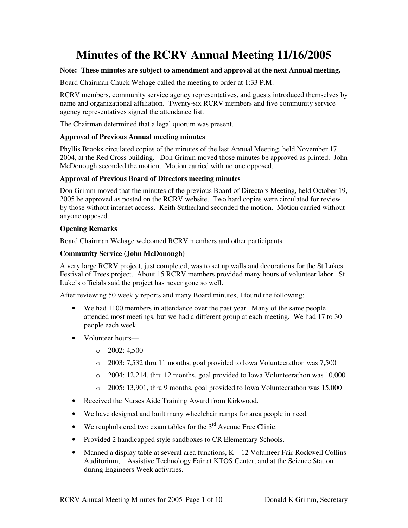# **Minutes of the RCRV Annual Meeting 11/16/2005**

## **Note: These minutes are subject to amendment and approval at the next Annual meeting.**

Board Chairman Chuck Wehage called the meeting to order at 1:33 P.M.

RCRV members, community service agency representatives, and guests introduced themselves by name and organizational affiliation. Twenty-six RCRV members and five community service agency representatives signed the attendance list.

The Chairman determined that a legal quorum was present.

## **Approval of Previous Annual meeting minutes**

Phyllis Brooks circulated copies of the minutes of the last Annual Meeting, held November 17, 2004, at the Red Cross building. Don Grimm moved those minutes be approved as printed. John McDonough seconded the motion. Motion carried with no one opposed.

## **Approval of Previous Board of Directors meeting minutes**

Don Grimm moved that the minutes of the previous Board of Directors Meeting, held October 19, 2005 be approved as posted on the RCRV website. Two hard copies were circulated for review by those without internet access. Keith Sutherland seconded the motion. Motion carried without anyone opposed.

## **Opening Remarks**

Board Chairman Wehage welcomed RCRV members and other participants.

## **Community Service (John McDonough)**

A very large RCRV project, just completed, was to set up walls and decorations for the St Lukes Festival of Trees project. About 15 RCRV members provided many hours of volunteer labor. St Luke's officials said the project has never gone so well.

After reviewing 50 weekly reports and many Board minutes, I found the following:

- We had 1100 members in attendance over the past year. Many of the same people attended most meetings, but we had a different group at each meeting. We had 17 to 30 people each week.
- Volunteer hours—
	- $\circ$  2002: 4,500
	- o 2003: 7,532 thru 11 months, goal provided to Iowa Volunteerathon was 7,500
	- $\circ$  2004: 12,214, thru 12 months, goal provided to Iowa Volunteerathon was 10,000
	- o 2005: 13,901, thru 9 months, goal provided to Iowa Volunteerathon was 15,000
- Received the Nurses Aide Training Award from Kirkwood.
- We have designed and built many wheelchair ramps for area people in need.
- We reupholstered two exam tables for the  $3<sup>rd</sup>$  Avenue Free Clinic.
- Provided 2 handicapped style sandboxes to CR Elementary Schools.
- Manned a display table at several area functions,  $K 12$  Volunteer Fair Rockwell Collins Auditorium, Assistive Technology Fair at KTOS Center, and at the Science Station during Engineers Week activities.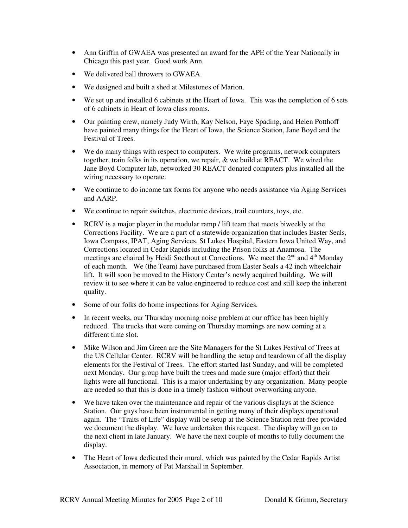- Ann Griffin of GWAEA was presented an award for the APE of the Year Nationally in Chicago this past year. Good work Ann.
- We delivered ball throwers to GWAEA.
- We designed and built a shed at Milestones of Marion.
- We set up and installed 6 cabinets at the Heart of Iowa. This was the completion of 6 sets of 6 cabinets in Heart of Iowa class rooms.
- Our painting crew, namely Judy Wirth, Kay Nelson, Faye Spading, and Helen Potthoff have painted many things for the Heart of Iowa, the Science Station, Jane Boyd and the Festival of Trees.
- We do many things with respect to computers. We write programs, network computers together, train folks in its operation, we repair, & we build at REACT. We wired the Jane Boyd Computer lab, networked 30 REACT donated computers plus installed all the wiring necessary to operate.
- We continue to do income tax forms for anyone who needs assistance via Aging Services and AARP.
- We continue to repair switches, electronic devices, trail counters, toys, etc.
- RCRV is a major player in the modular ramp / lift team that meets biweekly at the Corrections Facility. We are a part of a statewide organization that includes Easter Seals, Iowa Compass, IPAT, Aging Services, St Lukes Hospital, Eastern Iowa United Way, and Corrections located in Cedar Rapids including the Prison folks at Anamosa. The meetings are chaired by Heidi Soethout at Corrections. We meet the 2<sup>nd</sup> and 4<sup>th</sup> Monday of each month. We (the Team) have purchased from Easter Seals a 42 inch wheelchair lift. It will soon be moved to the History Center's newly acquired building. We will review it to see where it can be value engineered to reduce cost and still keep the inherent quality.
- Some of our folks do home inspections for Aging Services.
- In recent weeks, our Thursday morning noise problem at our office has been highly reduced. The trucks that were coming on Thursday mornings are now coming at a different time slot.
- Mike Wilson and Jim Green are the Site Managers for the St Lukes Festival of Trees at the US Cellular Center. RCRV will be handling the setup and teardown of all the display elements for the Festival of Trees. The effort started last Sunday, and will be completed next Monday. Our group have built the trees and made sure (major effort) that their lights were all functional. This is a major undertaking by any organization. Many people are needed so that this is done in a timely fashion without overworking anyone.
- We have taken over the maintenance and repair of the various displays at the Science Station. Our guys have been instrumental in getting many of their displays operational again. The "Traits of Life" display will be setup at the Science Station rent-free provided we document the display. We have undertaken this request. The display will go on to the next client in late January. We have the next couple of months to fully document the display.
- The Heart of Iowa dedicated their mural, which was painted by the Cedar Rapids Artist Association, in memory of Pat Marshall in September.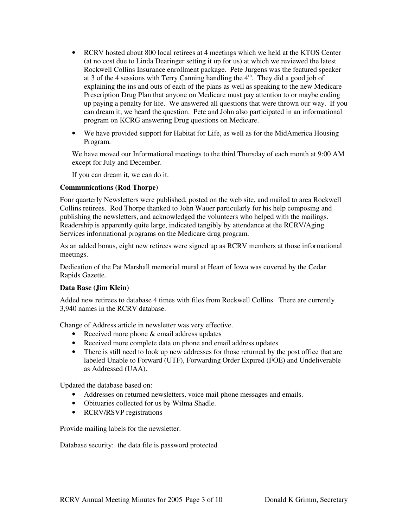- RCRV hosted about 800 local retirees at 4 meetings which we held at the KTOS Center (at no cost due to Linda Dearinger setting it up for us) at which we reviewed the latest Rockwell Collins Insurance enrollment package. Pete Jurgens was the featured speaker at 3 of the 4 sessions with Terry Canning handling the  $4<sup>th</sup>$ . They did a good job of explaining the ins and outs of each of the plans as well as speaking to the new Medicare Prescription Drug Plan that anyone on Medicare must pay attention to or maybe ending up paying a penalty for life. We answered all questions that were thrown our way. If you can dream it, we heard the question. Pete and John also participated in an informational program on KCRG answering Drug questions on Medicare.
- We have provided support for Habitat for Life, as well as for the MidAmerica Housing Program.

We have moved our Informational meetings to the third Thursday of each month at 9:00 AM except for July and December.

If you can dream it, we can do it.

## **Communications (Rod Thorpe)**

Four quarterly Newsletters were published, posted on the web site, and mailed to area Rockwell Collins retirees. Rod Thorpe thanked to John Wauer particularly for his help composing and publishing the newsletters, and acknowledged the volunteers who helped with the mailings. Readership is apparently quite large, indicated tangibly by attendance at the RCRV/Aging Services informational programs on the Medicare drug program.

As an added bonus, eight new retirees were signed up as RCRV members at those informational meetings.

Dedication of the Pat Marshall memorial mural at Heart of Iowa was covered by the Cedar Rapids Gazette.

## **Data Base (Jim Klein)**

Added new retirees to database 4 times with files from Rockwell Collins. There are currently 3,940 names in the RCRV database.

Change of Address article in newsletter was very effective.

- Received more phone & email address updates
- Received more complete data on phone and email address updates
- There is still need to look up new addresses for those returned by the post office that are labeled Unable to Forward (UTF), Forwarding Order Expired (FOE) and Undeliverable as Addressed (UAA).

Updated the database based on:

- Addresses on returned newsletters, voice mail phone messages and emails.
- Obituaries collected for us by Wilma Shadle.
- RCRV/RSVP registrations

Provide mailing labels for the newsletter.

Database security: the data file is password protected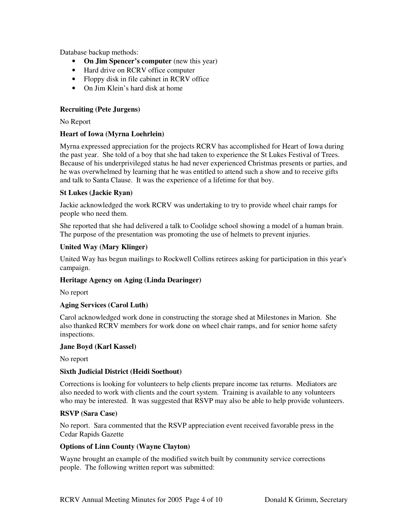Database backup methods:

- **On Jim Spencer's computer** (new this year)
- Hard drive on RCRV office computer
- Floppy disk in file cabinet in RCRV office
- On Jim Klein's hard disk at home

## **Recruiting (Pete Jurgens)**

No Report

## **Heart of Iowa (Myrna Loehrlein)**

Myrna expressed appreciation for the projects RCRV has accomplished for Heart of Iowa during the past year. She told of a boy that she had taken to experience the St Lukes Festival of Trees. Because of his underprivileged status he had never experienced Christmas presents or parties, and he was overwhelmed by learning that he was entitled to attend such a show and to receive gifts and talk to Santa Clause. It was the experience of a lifetime for that boy.

## **St Lukes (Jackie Ryan)**

Jackie acknowledged the work RCRV was undertaking to try to provide wheel chair ramps for people who need them.

She reported that she had delivered a talk to Coolidge school showing a model of a human brain. The purpose of the presentation was promoting the use of helmets to prevent injuries.

## **United Way (Mary Klinger)**

United Way has begun mailings to Rockwell Collins retirees asking for participation in this year's campaign.

## **Heritage Agency on Aging (Linda Dearinger)**

No report

## **Aging Services (Carol Luth)**

Carol acknowledged work done in constructing the storage shed at Milestones in Marion. She also thanked RCRV members for work done on wheel chair ramps, and for senior home safety inspections.

## **Jane Boyd (Karl Kassel)**

No report

## **Sixth Judicial District (Heidi Soethout)**

Corrections is looking for volunteers to help clients prepare income tax returns. Mediators are also needed to work with clients and the court system. Training is available to any volunteers who may be interested. It was suggested that RSVP may also be able to help provide volunteers.

## **RSVP (Sara Case)**

No report. Sara commented that the RSVP appreciation event received favorable press in the Cedar Rapids Gazette

## **Options of Linn County (Wayne Clayton)**

Wayne brought an example of the modified switch built by community service corrections people. The following written report was submitted: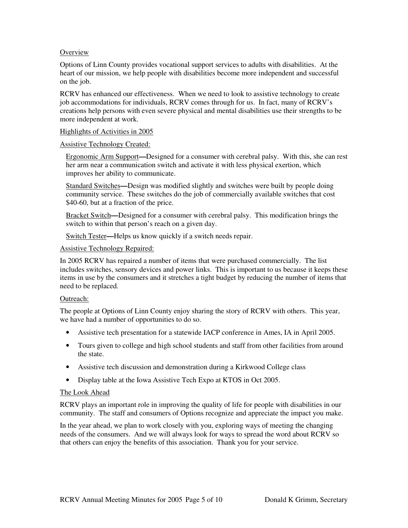## **Overview**

Options of Linn County provides vocational support services to adults with disabilities. At the heart of our mission, we help people with disabilities become more independent and successful on the job.

RCRV has enhanced our effectiveness. When we need to look to assistive technology to create job accommodations for individuals, RCRV comes through for us. In fact, many of RCRV's creations help persons with even severe physical and mental disabilities use their strengths to be more independent at work.

#### Highlights of Activities in 2005

#### Assistive Technology Created:

Ergonomic Arm Support**—**Designed for a consumer with cerebral palsy. With this, she can rest her arm near a communication switch and activate it with less physical exertion, which improves her ability to communicate.

Standard Switches**—**Design was modified slightly and switches were built by people doing community service. These switches do the job of commercially available switches that cost \$40-60, but at a fraction of the price.

Bracket Switch**—**Designed for a consumer with cerebral palsy. This modification brings the switch to within that person's reach on a given day.

Switch Tester**—**Helps us know quickly if a switch needs repair.

#### Assistive Technology Repaired:

In 2005 RCRV has repaired a number of items that were purchased commercially. The list includes switches, sensory devices and power links. This is important to us because it keeps these items in use by the consumers and it stretches a tight budget by reducing the number of items that need to be replaced.

## Outreach:

The people at Options of Linn County enjoy sharing the story of RCRV with others. This year, we have had a number of opportunities to do so.

- Assistive tech presentation for a statewide IACP conference in Ames, IA in April 2005.
- Tours given to college and high school students and staff from other facilities from around the state.
- Assistive tech discussion and demonstration during a Kirkwood College class
- Display table at the Iowa Assistive Tech Expo at KTOS in Oct 2005.

#### The Look Ahead

RCRV plays an important role in improving the quality of life for people with disabilities in our community. The staff and consumers of Options recognize and appreciate the impact you make.

In the year ahead, we plan to work closely with you, exploring ways of meeting the changing needs of the consumers. And we will always look for ways to spread the word about RCRV so that others can enjoy the benefits of this association. Thank you for your service.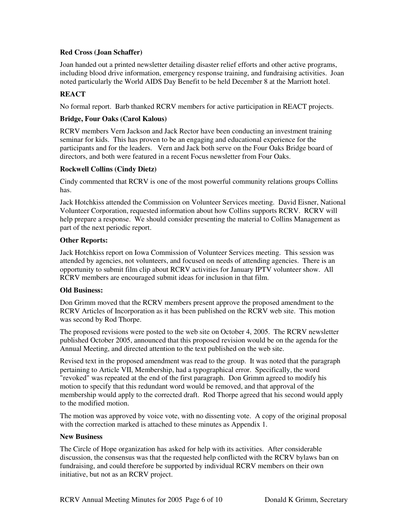## **Red Cross (Joan Schaffer)**

Joan handed out a printed newsletter detailing disaster relief efforts and other active programs, including blood drive information, emergency response training, and fundraising activities. Joan noted particularly the World AIDS Day Benefit to be held December 8 at the Marriott hotel.

## **REACT**

No formal report. Barb thanked RCRV members for active participation in REACT projects.

## **Bridge, Four Oaks (Carol Kalous)**

RCRV members Vern Jackson and Jack Rector have been conducting an investment training seminar for kids. This has proven to be an engaging and educational experience for the participants and for the leaders. Vern and Jack both serve on the Four Oaks Bridge board of directors, and both were featured in a recent Focus newsletter from Four Oaks.

## **Rockwell Collins (Cindy Dietz)**

Cindy commented that RCRV is one of the most powerful community relations groups Collins has.

Jack Hotchkiss attended the Commission on Volunteer Services meeting. David Eisner, National Volunteer Corporation, requested information about how Collins supports RCRV. RCRV will help prepare a response. We should consider presenting the material to Collins Management as part of the next periodic report.

## **Other Reports:**

Jack Hotchkiss report on Iowa Commission of Volunteer Services meeting. This session was attended by agencies, not volunteers, and focused on needs of attending agencies. There is an opportunity to submit film clip about RCRV activities for January IPTV volunteer show. All RCRV members are encouraged submit ideas for inclusion in that film.

## **Old Business:**

Don Grimm moved that the RCRV members present approve the proposed amendment to the RCRV Articles of Incorporation as it has been published on the RCRV web site. This motion was second by Rod Thorpe.

The proposed revisions were posted to the web site on October 4, 2005. The RCRV newsletter published October 2005, announced that this proposed revision would be on the agenda for the Annual Meeting, and directed attention to the text published on the web site.

Revised text in the proposed amendment was read to the group. It was noted that the paragraph pertaining to Article VII, Membership, had a typographical error. Specifically, the word "revoked" was repeated at the end of the first paragraph. Don Grimm agreed to modify his motion to specify that this redundant word would be removed, and that approval of the membership would apply to the corrected draft. Rod Thorpe agreed that his second would apply to the modified motion.

The motion was approved by voice vote, with no dissenting vote. A copy of the original proposal with the correction marked is attached to these minutes as Appendix 1.

## **New Business**

The Circle of Hope organization has asked for help with its activities. After considerable discussion, the consensus was that the requested help conflicted with the RCRV bylaws ban on fundraising, and could therefore be supported by individual RCRV members on their own initiative, but not as an RCRV project.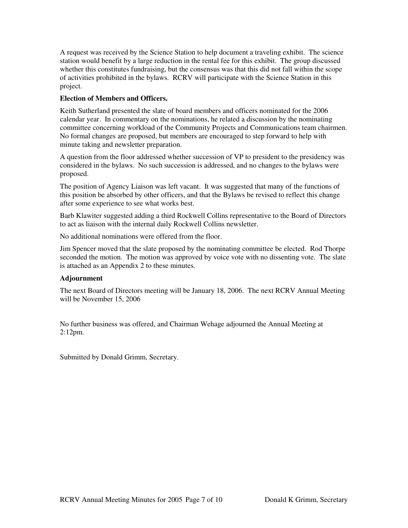A request was received by the Science Station to help document a traveling exhibit. The science station would benefit by a large reduction in the rental fee for this exhibit. The group discussed whether this constitutes fundraising, but the consensus was that this did not fall within the scope of activities prohibited in the bylaws. RCRV will participate with the Science Station in this project.

## **Election of Members and Officers.**

Keith Sutherland presented the slate of board members and officers nominated for the 2006 calendar year. In commentary on the nominations, he related a discussion by the nominating committee concerning workload of the Community Projects and Communications team chairmen. No formal changes are proposed, but members are encouraged to step forward to help with minute taking and newsletter preparation.

A question from the floor addressed whether succession of VP to president to the presidency was considered in the bylaws. No such succession is addressed, and no changes to the bylaws were proposed.

The position of Agency Liaison was left vacant. It was suggested that many of the functions of this position be absorbed by other officers, and that the Bylaws be revised to reflect this change after some experience to see what works best.

Barb Klawiter suggested adding a third Rockwell Collins representative to the Board of Directors to act as liaison with the internal daily Rockwell Collins newsletter.

No additional nominations were offered from the floor.

Jim Spencer moved that the slate proposed by the nominating committee be elected. Rod Thorpe seconded the motion. The motion was approved by voice vote with no dissenting vote. The slate is attached as an Appendix 2 to these minutes.

## **Adjournment**

The next Board of Directors meeting will be January 18, 2006. The next RCRV Annual Meeting will be November 15, 2006

No further business was offered, and Chairman Wehage adjourned the Annual Meeting at 2:12pm.

Submitted by Donald Grimm, Secretary.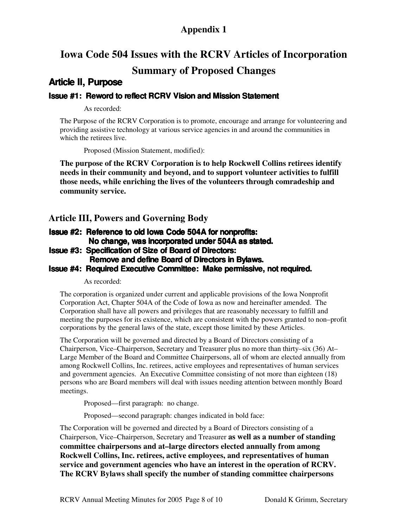## **Appendix 1**

## **Iowa Code 504 Issues with the RCRV Articles of Incorporation**

## **Summary of Proposed Changes**

## **Article II, Purpose**

## **Issue #1: Reword to reflect RCRV Vision and Mission Statement**

As recorded:

The Purpose of the RCRV Corporation is to promote, encourage and arrange for volunteering and providing assistive technology at various service agencies in and around the communities in which the retirees live.

Proposed (Mission Statement, modified):

**The purpose of the RCRV Corporation is to help Rockwell Collins retirees identify needs in their community and beyond, and to support volunteer activities to fulfill those needs, while enriching the lives of the volunteers through comradeship and community service.**

**Article III, Powers and Governing Body**

## **Issue #2: Reference to old Iowa Code 504A for nonprofits: No change, was incorporated under 504A as stated.**

**Issue #3: Specification of Size of Board of Directors:**

**Remove and define Board of Directors in Bylaws.**

## **Issue #4: Required Executive Committee: Make permissive, not required.**

As recorded:

The corporation is organized under current and applicable provisions of the Iowa Nonprofit Corporation Act, Chapter 504A of the Code of Iowa as now and hereinafter amended. The Corporation shall have all powers and privileges that are reasonably necessary to fulfill and meeting the purposes for its existence, which are consistent with the powers granted to non–profit corporations by the general laws of the state, except those limited by these Articles.

The Corporation will be governed and directed by a Board of Directors consisting of a Chairperson, Vice–Chairperson, Secretary and Treasurer plus no more than thirty–six (36) At– Large Member of the Board and Committee Chairpersons, all of whom are elected annually from among Rockwell Collins, Inc. retirees, active employees and representatives of human services and government agencies. An Executive Committee consisting of not more than eighteen (18) persons who are Board members will deal with issues needing attention between monthly Board meetings.

Proposed—first paragraph: no change.

Proposed—second paragraph: changes indicated in bold face:

The Corporation will be governed and directed by a Board of Directors consisting of a Chairperson, Vice–Chairperson, Secretary and Treasurer **as well as a number of standing committee chairpersons and at–large directors elected annually from among Rockwell Collins, Inc. retirees, active employees, and representatives of human service and government agencies who have an interest in the operation of RCRV. The RCRV Bylaws shall specify the number of standing committee chairpersons**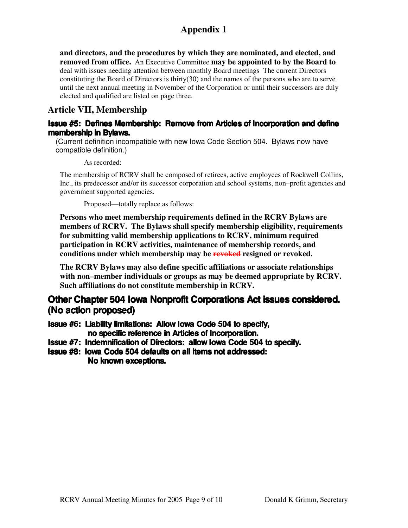## **Appendix 1**

**and directors, and the procedures by which they are nominated, and elected, and removed from office.** An Executive Committee **may be appointed to by the Board to** deal with issues needing attention between monthly Board meetings The current Directors constituting the Board of Directors is thirty(30) and the names of the persons who are to serve until the next annual meeting in November of the Corporation or until their successors are duly elected and qualified are listed on page three.

## **Article VII, Membership**

## **Issue #5: Defines Membership: Remove from Articles of Incorporation and define membership in Bylaws.**

(Current definition incompatible with new Iowa Code Section 504. Bylaws now have compatible definition.)

As recorded:

The membership of RCRV shall be composed of retirees, active employees of Rockwell Collins, Inc., its predecessor and/or its successor corporation and school systems, non–profit agencies and government supported agencies.

Proposed—totally replace as follows:

**Persons who meet membership requirements defined in the RCRV Bylaws are members of RCRV. The Bylaws shall specify membership eligibility, requirements for submitting valid membership applications to RCRV, minimum required participation in RCRV activities, maintenance of membership records, and conditions under which membership may be revoked resigned or revoked.**

**The RCRV Bylaws may also define specific affiliations or associate relationships with non–member individuals or groups as may be deemed appropriate by RCRV. Such affiliations do not constitute membership in RCRV.**

## **Other Chapter 504 Iowa Nonprofit Corporations Act issues considered. (No action proposed)**

**Issue #6: Liability limitations: Allow Iowa Code 504 to specify, no specific reference in Articles of Incorporation.**

- **Issue #7: Indemnification of Directors: allow Iowa Code 504 to specify.**
- **Issue #8: Iowa Code 504 defaults on all items not addressed: No known exceptions.**